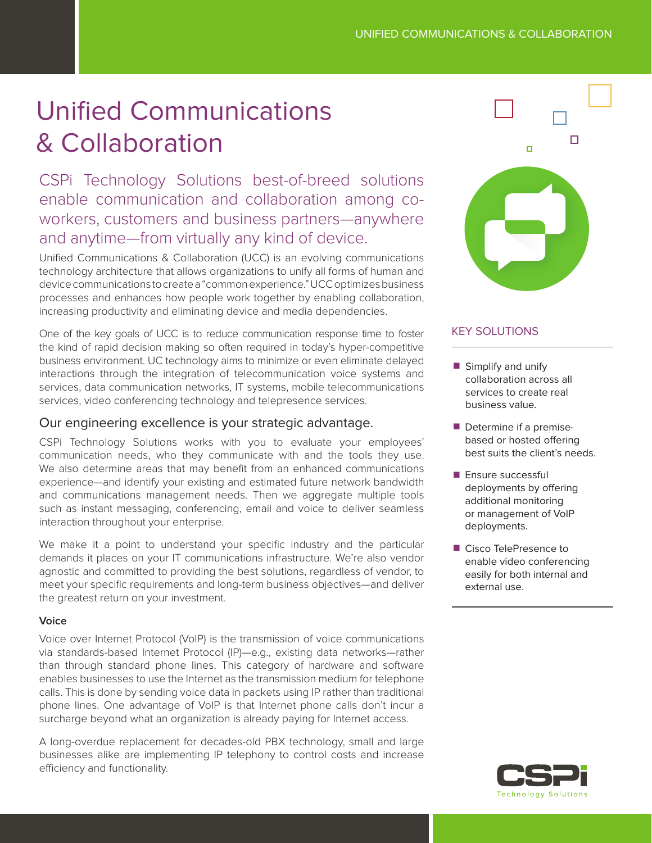# Unified Communications & Collaboration

CSPi Technology Solutions best-of-breed solutions enable communication and collaboration among coworkers, customers and business partners—anywhere and anytime—from virtually any kind of device.

Unified Communications & Collaboration (UCC) is an evolving communications technology architecture that allows organizations to unify all forms of human and device communications to create a "common experience." UCC optimizes business processes and enhances how people work together by enabling collaboration, increasing productivity and eliminating device and media dependencies.

One of the key goals of UCC is to reduce communication response time to foster the kind of rapid decision making so often required in today's hyper-competitive business environment. UC technology aims to minimize or even eliminate delayed interactions through the integration of telecommunication voice systems and services, data communication networks, IT systems, mobile telecommunications services, video conferencing technology and telepresence services.

## Our engineering excellence is your strategic advantage.

CSPi Technology Solutions works with you to evaluate your employees' communication needs, who they communicate with and the tools they use. We also determine areas that may benefit from an enhanced communications experience—and identify your existing and estimated future network bandwidth and communications management needs. Then we aggregate multiple tools such as instant messaging, conferencing, email and voice to deliver seamless interaction throughout your enterprise.

We make it a point to understand your specific industry and the particular demands it places on your IT communications infrastructure. We're also vendor agnostic and committed to providing the best solutions, regardless of vendor, to meet your specific requirements and long-term business objectives—and deliver the greatest return on your investment.

## **Voice**

Voice over Internet Protocol (VoIP) is the transmission of voice communications via standards-based Internet Protocol (IP)—e.g., existing data networks—rather than through standard phone lines. This category of hardware and software enables businesses to use the Internet as the transmission medium for telephone calls. This is done by sending voice data in packets using IP rather than traditional phone lines. One advantage of VoIP is that Internet phone calls don't incur a surcharge beyond what an organization is already paying for Internet access.

A long-overdue replacement for decades-old PBX technology, small and large businesses alike are implementing IP telephony to control costs and increase efficiency and functionality.



# KEY SOLUTIONS

- $\blacksquare$  Simplify and unify collaboration across all services to create real business value.
- **Determine if a premise**based or hosted offering best suits the client's needs.
- $\blacksquare$  Ensure successful deployments by offering additional monitoring or management of VoIP deployments.
- Cisco TelePresence to enable video conferencing easily for both internal and external use.